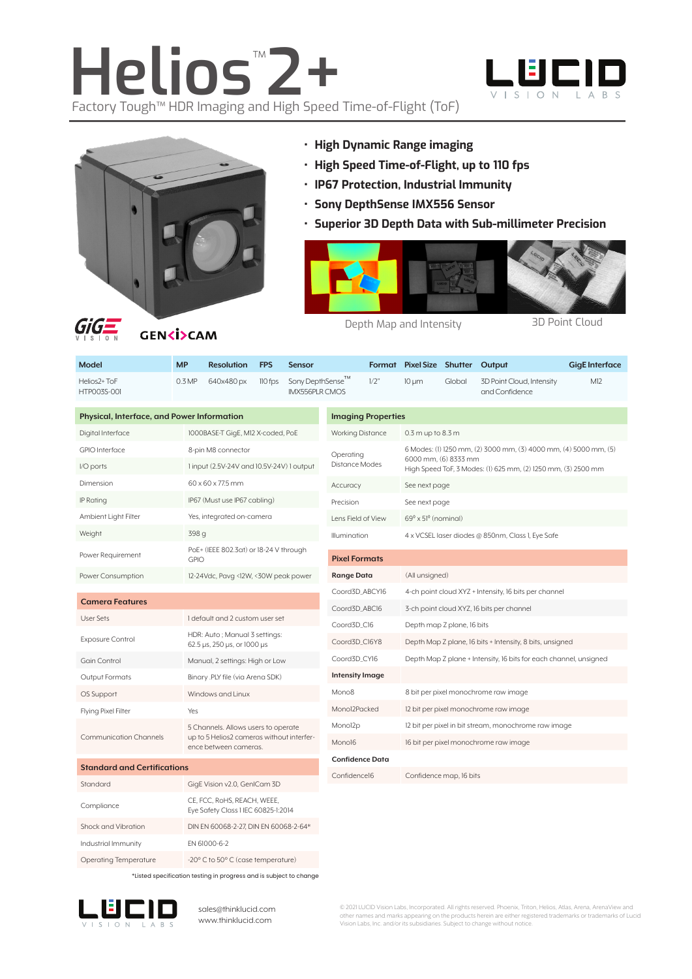# **Helios**™ **2+** Factory Tough™ HDR Imaging and High Speed Time-of-Flight (ToF)





- **• High Dynamic Range imaging**
- **• High Speed Time-of-Flight, up to 110 fps**
- **• IP67 Protection, Industrial Immunity**
- **• Sony DepthSense IMX556 Sensor**
- **• Superior 3D Depth Data with Sub-millimeter Precision**



**GENKISCAM** 

Depth Map and Intensity 3D Point Cloud

| <b>Model</b>                                   | <b>MP</b>                                                          | <b>Resolution</b>                                               | <b>FPS</b>     | <b>Sensor</b>                             |                           |                                                      | Format Pixel Size Shutter Output                                                      |        |                                             | <b>GigE</b> Interface |
|------------------------------------------------|--------------------------------------------------------------------|-----------------------------------------------------------------|----------------|-------------------------------------------|---------------------------|------------------------------------------------------|---------------------------------------------------------------------------------------|--------|---------------------------------------------|-----------------------|
| Helios <sub>2+</sub> ToF<br><b>HTP003S-001</b> | 0.3 MP                                                             | 640x480 px                                                      | 110 fps        | Sony DepthSense™<br><b>IMX556PLR CMOS</b> |                           | 1/2"                                                 | $10 \mu m$                                                                            | Global | 3D Point Cloud, Intensity<br>and Confidence | M12                   |
| Physical, Interface, and Power Information     |                                                                    |                                                                 |                |                                           | <b>Imaging Properties</b> |                                                      |                                                                                       |        |                                             |                       |
| Digital Interface                              |                                                                    | 1000BASE-T GigE, M12 X-coded, PoE                               |                |                                           | <b>Working Distance</b>   |                                                      | $0.3$ m up to $8.3$ m                                                                 |        |                                             |                       |
| <b>GPIO</b> Interface                          |                                                                    | 8-pin M8 connector<br>1 input (2.5V-24V and 10.5V-24V) 1 output |                |                                           | Operating                 |                                                      | 6 Modes: (1) 1250 mm, (2) 3000 mm, (3) 4000 mm, (4) 5000 mm, (5)                      |        |                                             |                       |
| I/O ports                                      |                                                                    |                                                                 |                |                                           | <b>Distance Modes</b>     |                                                      | 6000 mm, (6) 8333 mm<br>High Speed ToF, 3 Modes: (1) 625 mm, (2) 1250 mm, (3) 2500 mm |        |                                             |                       |
| Dimension                                      |                                                                    | 60 x 60 x 77.5 mm                                               |                |                                           | Accuracy                  |                                                      | See next page                                                                         |        |                                             |                       |
| IP Rating                                      |                                                                    | IP67 (Must use IP67 cabling)                                    |                |                                           | Precision                 |                                                      | See next page                                                                         |        |                                             |                       |
| Ambient Light Filter                           |                                                                    | Yes, integrated on-camera                                       |                |                                           | Lens Field of View        |                                                      | $69^{\circ}$ x $51^{\circ}$ (nominal)                                                 |        |                                             |                       |
| Weight                                         |                                                                    | 398 g                                                           |                |                                           | Illumination              |                                                      | 4 x VCSEL laser diodes @ 850nm, Class 1, Eye Safe                                     |        |                                             |                       |
| Power Requirement                              |                                                                    | PoE+ (IEEE 802.3at) or 18-24 V through<br><b>GPIO</b>           |                |                                           | <b>Pixel Formats</b>      |                                                      |                                                                                       |        |                                             |                       |
| Power Consumption                              |                                                                    | 12-24Vdc, Pavg <12W, <30W peak power                            |                |                                           | Range Data                |                                                      | (All unsigned)                                                                        |        |                                             |                       |
|                                                |                                                                    |                                                                 | Coord3D_ABCY16 |                                           |                           |                                                      | 4-ch point cloud XYZ + Intensity, 16 bits per channel                                 |        |                                             |                       |
| <b>Camera Features</b>                         |                                                                    |                                                                 | Coord3D_ABC16  |                                           |                           |                                                      | 3-ch point cloud XYZ, 16 bits per channel                                             |        |                                             |                       |
| User Sets                                      |                                                                    | 1 default and 2 custom user set                                 |                |                                           | Coord3D_C16               |                                                      | Depth map Z plane, 16 bits                                                            |        |                                             |                       |
| <b>Exposure Control</b>                        |                                                                    | HDR: Auto ; Manual 3 settings:<br>62.5 µs, 250 µs, or 1000 µs   |                |                                           | Coord3D_C16Y8             |                                                      | Depth Map Z plane, 16 bits + Intensity, 8 bits, unsigned                              |        |                                             |                       |
| <b>Gain Control</b>                            |                                                                    | Manual, 2 settings: High or Low                                 |                |                                           | Coord3D_CY16              |                                                      | Depth Map Z plane + Intensity, 16 bits for each channel, unsigned                     |        |                                             |                       |
| Output Formats                                 |                                                                    | Binary .PLY file (via Arena SDK)                                |                |                                           | <b>Intensity Image</b>    |                                                      |                                                                                       |        |                                             |                       |
| OS Support                                     |                                                                    | Windows and Linux                                               |                |                                           | Mono <sub>8</sub>         |                                                      |                                                                                       |        | 8 bit per pixel monochrome raw image        |                       |
| Flying Pixel Filter                            | Yes                                                                |                                                                 |                |                                           | Monol2Packed              |                                                      | 12 bit per pixel monochrome raw image                                                 |        |                                             |                       |
| <b>Communication Channels</b>                  | 5 Channels. Allows users to operate                                |                                                                 |                | Monol2p                                   |                           | 12 bit per pixel in bit stream, monochrome raw image |                                                                                       |        |                                             |                       |
|                                                | up to 5 Helios2 cameras without interfer-<br>ence between cameras. |                                                                 | Mono16         |                                           |                           |                                                      | 16 bit per pixel monochrome raw image                                                 |        |                                             |                       |
| <b>Standard and Certifications</b>             |                                                                    |                                                                 |                | <b>Confidence Data</b>                    |                           |                                                      |                                                                                       |        |                                             |                       |
| Standard<br>GigE Vision v2.0, GenICam 3D       |                                                                    |                                                                 | Confidence16   |                                           | Confidence map, 16 bits   |                                                      |                                                                                       |        |                                             |                       |
|                                                |                                                                    | CE, FCC, RoHS, REACH, WEEE,                                     |                |                                           |                           |                                                      |                                                                                       |        |                                             |                       |

| GigE Vision v2.0, GenICam 3D                                       |
|--------------------------------------------------------------------|
| CE, FCC, RoHS, REACH, WEEE,<br>Eye Safety Class 1 IEC 60825-1:2014 |
| DIN EN 60068-2-27. DIN EN 60068-2-64*                              |
| FN 61000-6-2                                                       |
| -20° C to 50° C (case temperature)                                 |
|                                                                    |

\*Listed specification testing in progress and is subject to change



sales@thinklucid.com www.thinklucid.com

© 2021 LUCID Vision Labs, Incorporated. All rights reserved. Phoenix, Triton, Helios, Atlas, Arena, ArenaView and other names and marks appearing on the products herein are either registered trademarks or trademarks of Lucid Vision Labs, Inc. and/or its subsidiaries. Subject to change without notice.